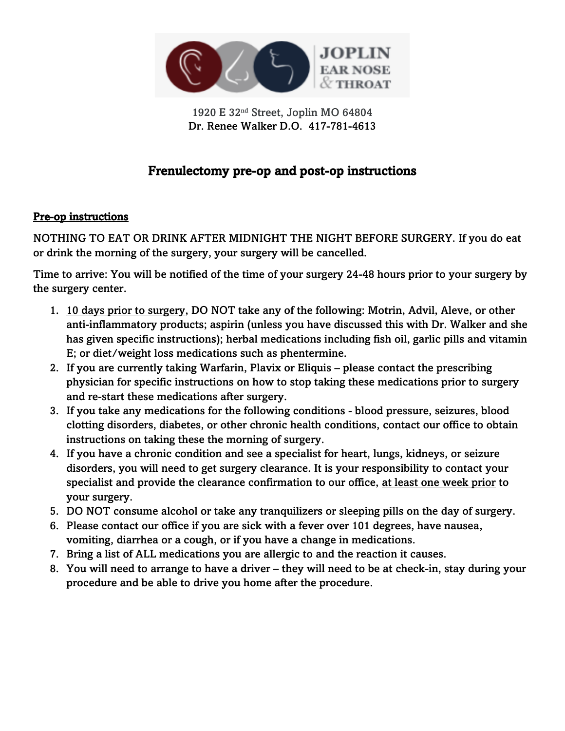

1920 E 32nd Street, Joplin MO 64804 Dr. Renee Walker D.O. 417-781-4613

# Frenulectomy pre-op and post-op instructions

#### Pre-op instructions

NOTHING TO EAT OR DRINK AFTER MIDNIGHT THE NIGHT BEFORE SURGERY. If you do eat or drink the morning of the surgery, your surgery will be cancelled.

Time to arrive: You will be notified of the time of your surgery 24-48 hours prior to your surgery by the surgery center.

- 1. 10 days prior to surgery, DO NOT take any of the following: Motrin, Advil, Aleve, or other anti-inflammatory products; aspirin (unless you have discussed this with Dr. Walker and she has given specific instructions); herbal medications including fish oil, garlic pills and vitamin E; or diet/weight loss medications such as phentermine.
- 2. If you are currently taking Warfarin, Plavix or Eliquis please contact the prescribing physician for specific instructions on how to stop taking these medications prior to surgery and re-start these medications after surgery.
- 3. If you take any medications for the following conditions blood pressure, seizures, blood clotting disorders, diabetes, or other chronic health conditions, contact our office to obtain instructions on taking these the morning of surgery.
- 4. If you have a chronic condition and see a specialist for heart, lungs, kidneys, or seizure disorders, you will need to get surgery clearance. It is your responsibility to contact your specialist and provide the clearance confirmation to our office, at least one week prior to your surgery.
- 5. DO NOT consume alcohol or take any tranquilizers or sleeping pills on the day of surgery.
- 6. Please contact our office if you are sick with a fever over 101 degrees, have nausea, vomiting, diarrhea or a cough, or if you have a change in medications.
- 7. Bring a list of ALL medications you are allergic to and the reaction it causes.
- 8. You will need to arrange to have a driver they will need to be at check-in, stay during your procedure and be able to drive you home after the procedure.